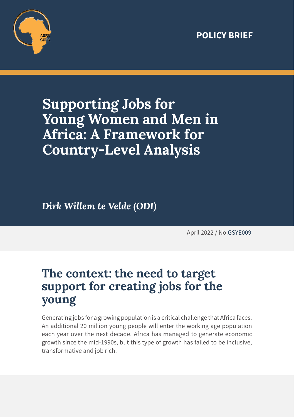



# **Supporting Jobs for Young Women and Men in Africa: A Framework for Country-Level Analysis**

*Dirk Willem te Velde (ODI)*

April 2022 / No.GSYE009

### **The context: the need to target support for creating jobs for the young**

Generating jobs for a growing population is a critical challenge that Africa faces. An additional 20 million young people will enter the working age population each year over the next decade. Africa has managed to generate economic growth since the mid-1990s, but this type of growth has failed to be inclusive, transformative and job rich.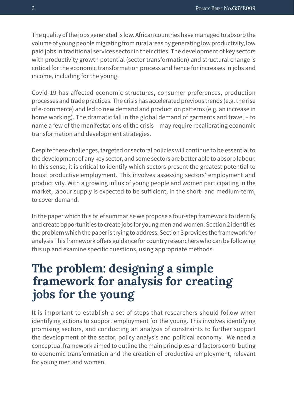The quality of the jobs generated is low. African countries have managed to absorb the volume of young people migrating from rural areas by generating low productivity, low paid jobs in traditional services sector in their cities. The development of key sectors with productivity growth potential (sector transformation) and structural change is critical for the economic transformation process and hence for increases in jobs and income, including for the young.

Covid-19 has affected economic structures, consumer preferences, production processes and trade practices. The crisis has accelerated previous trends (e.g. the rise of e-commerce) and led to new demand and production patterns (e.g. an increase in home working). The dramatic fall in the global demand of garments and travel – to name a few of the manifestations of the crisis – may require recalibrating economic transformation and development strategies.

Despite these challenges, targeted or sectoral policies will continue to be essential to the development of any key sector, and some sectors are better able to absorb labour. In this sense, it is critical to identify which sectors present the greatest potential to boost productive employment. This involves assessing sectors' employment and productivity. With a growing influx of young people and women participating in the market, labour supply is expected to be sufficient, in the short- and medium-term, to cover demand.

In the paper which this brief summarise we propose a four-step framework to identify and create opportunities to create jobs for young men and women. Section 2 identifies the problem which the paper is trying to address. Section 3 provides the framework for analysis This framework offers guidance for country researchers who can be following this up and examine specific questions, using appropriate methods

### **The problem: designing a simple framework for analysis for creating jobs for the young**

It is important to establish a set of steps that researchers should follow when identifying actions to support employment for the young. This involves identifying promising sectors, and conducting an analysis of constraints to further support the development of the sector, policy analysis and political economy. We need a conceptual framework aimed to outline the main principles and factors contributing to economic transformation and the creation of productive employment, relevant for young men and women.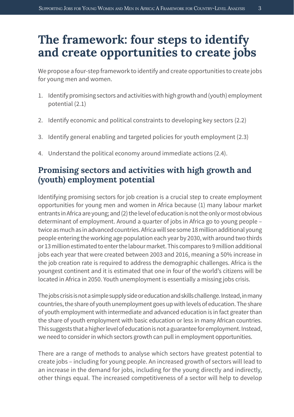## **The framework: four steps to identify and create opportunities to create jobs**

We propose a four-step framework to identify and create opportunities to create jobs for young men and women.

- 1. Identify promising sectors and activities with high growth and (youth) employment potential (2.1)
- 2. Identify economic and political constraints to developing key sectors (2.2)
- 3. Identify general enabling and targeted policies for youth employment (2.3)
- 4. Understand the political economy around immediate actions (2.4).

### **Promising sectors and activities with high growth and (youth) employment potential**

Identifying promising sectors for job creation is a crucial step to create employment opportunities for young men and women in Africa because (1) many labour market entrants in Africa are young; and (2) the level of education is not the only or most obvious determinant of employment. Around a quarter of jobs in Africa go to young people – twice as much as in advanced countries. Africa will see some 18 million additional young people entering the working age population each year by 2030, with around two thirds or 13 million estimated to enter the labour market. This compares to 9 million additional jobs each year that were created between 2003 and 2016, meaning a 50% increase in the job creation rate is required to address the demographic challenges. Africa is the youngest continent and it is estimated that one in four of the world's citizens will be located in Africa in 2050. Youth unemployment is essentially a missing jobs crisis.

The jobs crisis is not a simple supply side or education and skills challenge. Instead, in many countries, the share of youth unemployment goes up with levels of education. The share of youth employment with intermediate and advanced education is in fact greater than the share of youth employment with basic education or less in many African countries. This suggests that a higher level of education is not a guarantee for employment. Instead, we need to consider in which sectors growth can pull in employment opportunities.

There are a range of methods to analyse which sectors have greatest potential to create jobs – including for young people. An increased growth of sectors will lead to an increase in the demand for jobs, including for the young directly and indirectly, other things equal. The increased competitiveness of a sector will help to develop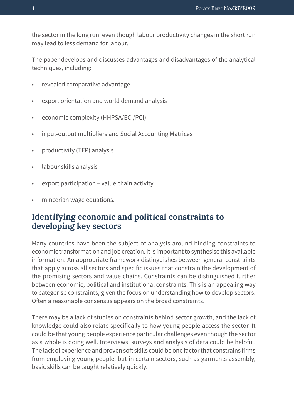the sector in the long run, even though labour productivity changes in the short run may lead to less demand for labour.

The paper develops and discusses advantages and disadvantages of the analytical techniques, including:

- revealed comparative advantage
- export orientation and world demand analysis
- economic complexity (HHPSA/ECI/PCI)
- • input-output multipliers and Social Accounting Matrices
- • productivity (TFP) analysis
- • labour skills analysis
- export participation value chain activity
- mincerian wage equations.

#### **Identifying economic and political constraints to developing key sectors**

Many countries have been the subject of analysis around binding constraints to economic transformation and job creation. It is important to synthesise this available information. An appropriate framework distinguishes between general constraints that apply across all sectors and specific issues that constrain the development of the promising sectors and value chains. Constraints can be distinguished further between economic, political and institutional constraints. This is an appealing way to categorise constraints, given the focus on understanding how to develop sectors. Often a reasonable consensus appears on the broad constraints.

There may be a lack of studies on constraints behind sector growth, and the lack of knowledge could also relate specifically to how young people access the sector. It could be that young people experience particular challenges even though the sector as a whole is doing well. Interviews, surveys and analysis of data could be helpful. The lack of experience and proven soft skills could be one factor that constrains firms from employing young people, but in certain sectors, such as garments assembly, basic skills can be taught relatively quickly.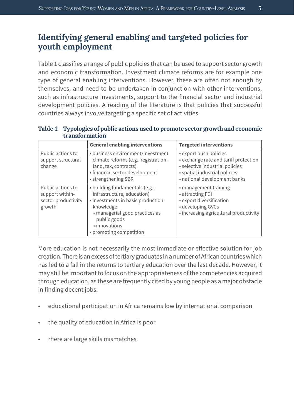#### **Identifying general enabling and targeted policies for youth employment**

Table 1 classifies a range of public policies that can be used to support sector growth and economic transformation. Investment climate reforms are for example one type of general enabling interventions. However, these are often not enough by themselves, and need to be undertaken in conjunction with other interventions, such as infrastructure investments, support to the financial sector and industrial development policies. A reading of the literature is that policies that successful countries always involve targeting a specific set of activities.

| егонкологическоп                                                      |                                                                                                                                                                                                              |                                                                                                                                                                     |
|-----------------------------------------------------------------------|--------------------------------------------------------------------------------------------------------------------------------------------------------------------------------------------------------------|---------------------------------------------------------------------------------------------------------------------------------------------------------------------|
|                                                                       | <b>General enabling interventions</b>                                                                                                                                                                        | <b>Targeted interventions</b>                                                                                                                                       |
| Public actions to<br>support structural<br>change                     | • business environment/investment<br>climate reforms (e.g., registration,<br>land, tax, contracts)<br>• financial sector development<br>• strengthening SBR                                                  | • export push policies<br>• exchange rate and tariff protection<br>· selective industrial policies<br>• spatial industrial policies<br>• national development banks |
| Public actions to<br>support within-<br>sector productivity<br>growth | • building fundamentals (e.g.,<br>infrastructure, education)<br>• investments in basic production<br>knowledge<br>• managerial good practices as<br>public goods<br>• innovations<br>• promoting competition | • management training<br>• attracting FDI<br>• export diversification<br>• developing GVCs<br>• increasing agricultural productivity                                |

#### **Table 1: Typologies of public actions used to promote sector growth and economic transformation**

More education is not necessarily the most immediate or effective solution for job creation. There is an excess of tertiary graduates in a number of African countries which has led to a fall in the returns to tertiary education over the last decade. However, it may still be important to focus on the appropriateness of the competencies acquired through education, as these are frequently cited by young people as a major obstacle in finding decent jobs:

- educational participation in Africa remains low by international comparison
- the quality of education in Africa is poor
- rhere are large skills mismatches.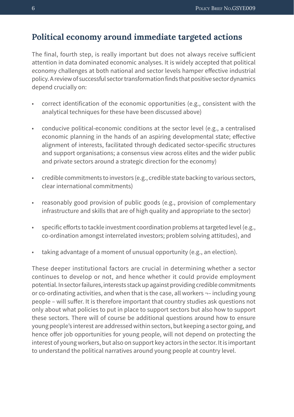#### **Political economy around immediate targeted actions**

The final, fourth step, is really important but does not always receive sufficient attention in data dominated economic analyses. It is widely accepted that political economy challenges at both national and sector levels hamper effective industrial policy. A review of successful sector transformation finds that positive sector dynamics depend crucially on:

- correct identification of the economic opportunities (e.g., consistent with the analytical techniques for these have been discussed above)
- • conducive political-economic conditions at the sector level (e.g., a centralised economic planning in the hands of an aspiring developmental state; effective alignment of interests, facilitated through dedicated sector-specific structures and support organisations; a consensus view across elites and the wider public and private sectors around a strategic direction for the economy)
- • credible commitments to investors (e.g., credible state backing to various sectors, clear international commitments)
- • reasonably good provision of public goods (e.g., provision of complementary infrastructure and skills that are of high quality and appropriate to the sector)
- specific efforts to tackle investment coordination problems at targeted level (e.g., co-ordination amongst interrelated investors; problem solving attitudes), and
- taking advantage of a moment of unusual opportunity (e.g., an election).

These deeper institutional factors are crucial in determining whether a sector continues to develop or not, and hence whether it could provide employment potential. In sector failures, interests stack up against providing credible commitments or co-ordinating activities, and when that is the case, all workers ¬– including young people – will suffer. It is therefore important that country studies ask questions not only about what policies to put in place to support sectors but also how to support these sectors. There will of course be additional questions around how to ensure young people's interest are addressed within sectors, but keeping a sector going, and hence offer job opportunities for young people, will not depend on protecting the interest of young workers, but also on support key actors in the sector. It is important to understand the political narratives around young people at country level.